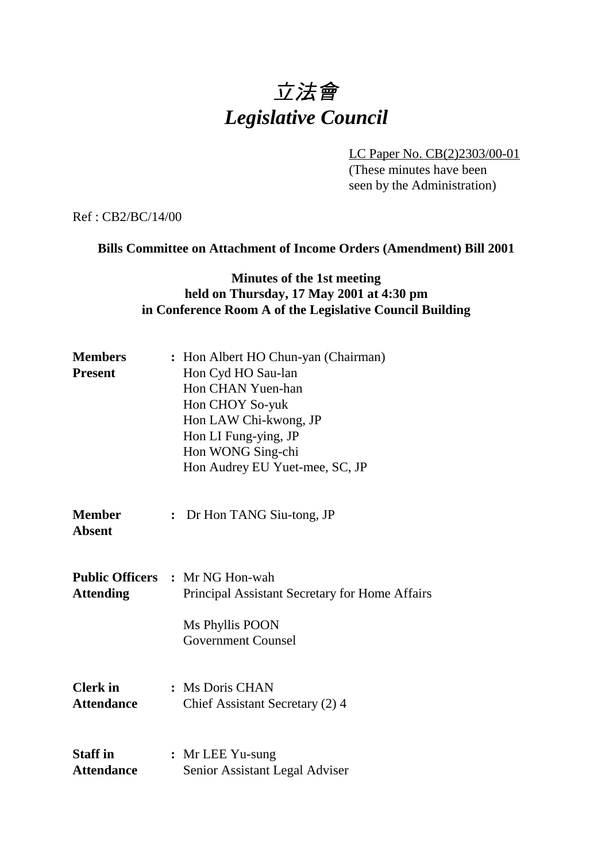# 立法會 *Legislative Council*

LC Paper No. CB(2)2303/00-01 (These minutes have been seen by the Administration)

Ref : CB2/BC/14/00

# **Bills Committee on Attachment of Income Orders (Amendment) Bill 2001**

# **Minutes of the 1st meeting held on Thursday, 17 May 2001 at 4:30 pm in Conference Room A of the Legislative Council Building**

| <b>Members</b><br><b>Present</b>     | : Hon Albert HO Chun-yan (Chairman)<br>Hon Cyd HO Sau-lan<br>Hon CHAN Yuen-han<br>Hon CHOY So-yuk<br>Hon LAW Chi-kwong, JP<br>Hon LI Fung-ying, JP<br>Hon WONG Sing-chi<br>Hon Audrey EU Yuet-mee, SC, JP |
|--------------------------------------|-----------------------------------------------------------------------------------------------------------------------------------------------------------------------------------------------------------|
| <b>Member</b><br><b>Absent</b>       | : Dr Hon TANG Siu-tong, JP                                                                                                                                                                                |
| <b>Attending</b>                     | <b>Public Officers : Mr NG Hon-wah</b><br>Principal Assistant Secretary for Home Affairs<br>Ms Phyllis POON<br><b>Government Counsel</b>                                                                  |
| <b>Clerk</b> in<br><b>Attendance</b> | : Ms Doris CHAN<br>Chief Assistant Secretary (2) 4                                                                                                                                                        |
| <b>Staff in</b><br><b>Attendance</b> | : Mr LEE Yu-sung<br>Senior Assistant Legal Adviser                                                                                                                                                        |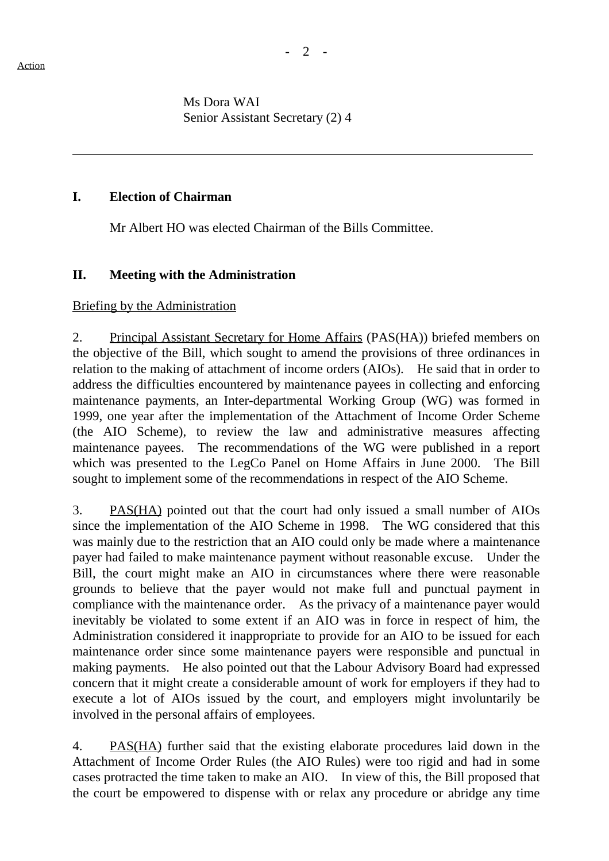ı

Ms Dora WAI Senior Assistant Secretary (2) 4

## **I. Election of Chairman**

Mr Albert HO was elected Chairman of the Bills Committee.

# **II. Meeting with the Administration**

#### Briefing by the Administration

2. Principal Assistant Secretary for Home Affairs (PAS(HA)) briefed members on the objective of the Bill, which sought to amend the provisions of three ordinances in relation to the making of attachment of income orders (AIOs). He said that in order to address the difficulties encountered by maintenance payees in collecting and enforcing maintenance payments, an Inter-departmental Working Group (WG) was formed in 1999, one year after the implementation of the Attachment of Income Order Scheme (the AIO Scheme), to review the law and administrative measures affecting maintenance payees. The recommendations of the WG were published in a report which was presented to the LegCo Panel on Home Affairs in June 2000. The Bill sought to implement some of the recommendations in respect of the AIO Scheme.

3. PAS(HA) pointed out that the court had only issued a small number of AIOs since the implementation of the AIO Scheme in 1998. The WG considered that this was mainly due to the restriction that an AIO could only be made where a maintenance payer had failed to make maintenance payment without reasonable excuse. Under the Bill, the court might make an AIO in circumstances where there were reasonable grounds to believe that the payer would not make full and punctual payment in compliance with the maintenance order. As the privacy of a maintenance payer would inevitably be violated to some extent if an AIO was in force in respect of him, the Administration considered it inappropriate to provide for an AIO to be issued for each maintenance order since some maintenance payers were responsible and punctual in making payments. He also pointed out that the Labour Advisory Board had expressed concern that it might create a considerable amount of work for employers if they had to execute a lot of AIOs issued by the court, and employers might involuntarily be involved in the personal affairs of employees.

4. PAS(HA) further said that the existing elaborate procedures laid down in the Attachment of Income Order Rules (the AIO Rules) were too rigid and had in some cases protracted the time taken to make an AIO. In view of this, the Bill proposed that the court be empowered to dispense with or relax any procedure or abridge any time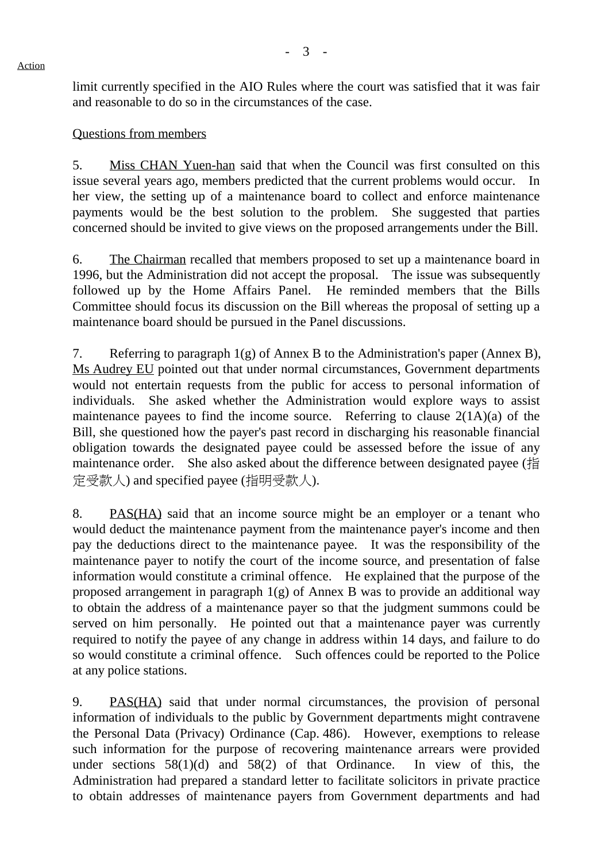limit currently specified in the AIO Rules where the court was satisfied that it was fair and reasonable to do so in the circumstances of the case.

### Questions from members

5. Miss CHAN Yuen-han said that when the Council was first consulted on this issue several years ago, members predicted that the current problems would occur. In her view, the setting up of a maintenance board to collect and enforce maintenance payments would be the best solution to the problem. She suggested that parties concerned should be invited to give views on the proposed arrangements under the Bill.

6. The Chairman recalled that members proposed to set up a maintenance board in 1996, but the Administration did not accept the proposal. The issue was subsequently followed up by the Home Affairs Panel. He reminded members that the Bills Committee should focus its discussion on the Bill whereas the proposal of setting up a maintenance board should be pursued in the Panel discussions.

7. Referring to paragraph 1(g) of Annex B to the Administration's paper (Annex B), Ms Audrey EU pointed out that under normal circumstances, Government departments would not entertain requests from the public for access to personal information of individuals. She asked whether the Administration would explore ways to assist maintenance payees to find the income source. Referring to clause  $2(1A)(a)$  of the Bill, she questioned how the payer's past record in discharging his reasonable financial obligation towards the designated payee could be assessed before the issue of any maintenance order. She also asked about the difference between designated payee (指 定受款㆟) and specified payee (指明受款㆟).

8. PAS(HA) said that an income source might be an employer or a tenant who would deduct the maintenance payment from the maintenance payer's income and then pay the deductions direct to the maintenance payee. It was the responsibility of the maintenance payer to notify the court of the income source, and presentation of false information would constitute a criminal offence. He explained that the purpose of the proposed arrangement in paragraph 1(g) of Annex B was to provide an additional way to obtain the address of a maintenance payer so that the judgment summons could be served on him personally. He pointed out that a maintenance payer was currently required to notify the payee of any change in address within 14 days, and failure to do so would constitute a criminal offence. Such offences could be reported to the Police at any police stations.

9. PAS(HA) said that under normal circumstances, the provision of personal information of individuals to the public by Government departments might contravene the Personal Data (Privacy) Ordinance (Cap. 486). However, exemptions to release such information for the purpose of recovering maintenance arrears were provided under sections  $58(1)(d)$  and  $58(2)$  of that Ordinance. In view of this, the Administration had prepared a standard letter to facilitate solicitors in private practice to obtain addresses of maintenance payers from Government departments and had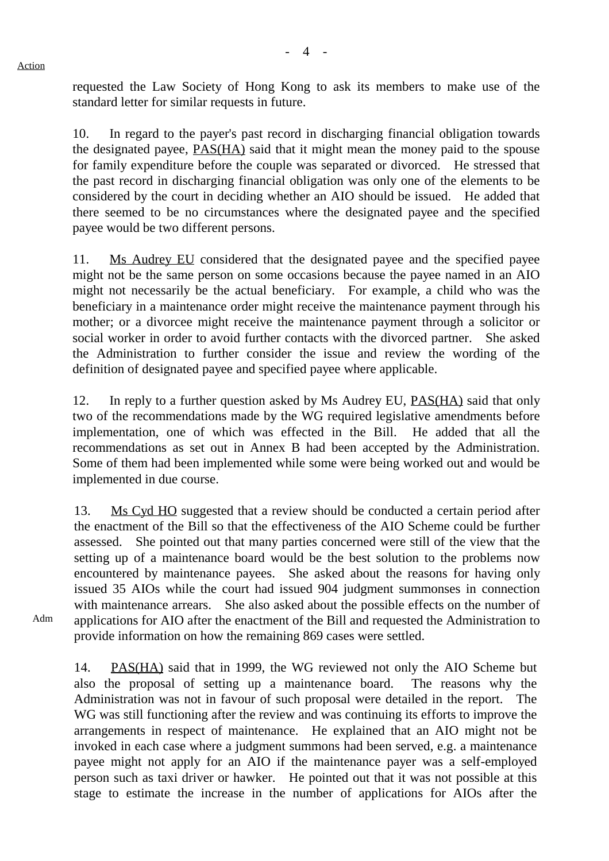requested the Law Society of Hong Kong to ask its members to make use of the standard letter for similar requests in future.

10. In regard to the payer's past record in discharging financial obligation towards the designated payee, PAS(HA) said that it might mean the money paid to the spouse for family expenditure before the couple was separated or divorced. He stressed that the past record in discharging financial obligation was only one of the elements to be considered by the court in deciding whether an AIO should be issued. He added that there seemed to be no circumstances where the designated payee and the specified payee would be two different persons.

11. Ms Audrey EU considered that the designated payee and the specified payee might not be the same person on some occasions because the payee named in an AIO might not necessarily be the actual beneficiary. For example, a child who was the beneficiary in a maintenance order might receive the maintenance payment through his mother; or a divorcee might receive the maintenance payment through a solicitor or social worker in order to avoid further contacts with the divorced partner. She asked the Administration to further consider the issue and review the wording of the definition of designated payee and specified payee where applicable.

12. In reply to a further question asked by Ms Audrey EU, PAS(HA) said that only two of the recommendations made by the WG required legislative amendments before implementation, one of which was effected in the Bill. He added that all the recommendations as set out in Annex B had been accepted by the Administration. Some of them had been implemented while some were being worked out and would be implemented in due course.

13. Ms Cyd HO suggested that a review should be conducted a certain period after the enactment of the Bill so that the effectiveness of the AIO Scheme could be further assessed. She pointed out that many parties concerned were still of the view that the setting up of a maintenance board would be the best solution to the problems now encountered by maintenance payees. She asked about the reasons for having only issued 35 AIOs while the court had issued 904 judgment summonses in connection with maintenance arrears. She also asked about the possible effects on the number of applications for AIO after the enactment of the Bill and requested the Administration to provide information on how the remaining 869 cases were settled.

Adm

14. PAS(HA) said that in 1999, the WG reviewed not only the AIO Scheme but also the proposal of setting up a maintenance board. The reasons why the Administration was not in favour of such proposal were detailed in the report. The WG was still functioning after the review and was continuing its efforts to improve the arrangements in respect of maintenance. He explained that an AIO might not be invoked in each case where a judgment summons had been served, e.g. a maintenance payee might not apply for an AIO if the maintenance payer was a self-employed person such as taxi driver or hawker. He pointed out that it was not possible at this stage to estimate the increase in the number of applications for AIOs after the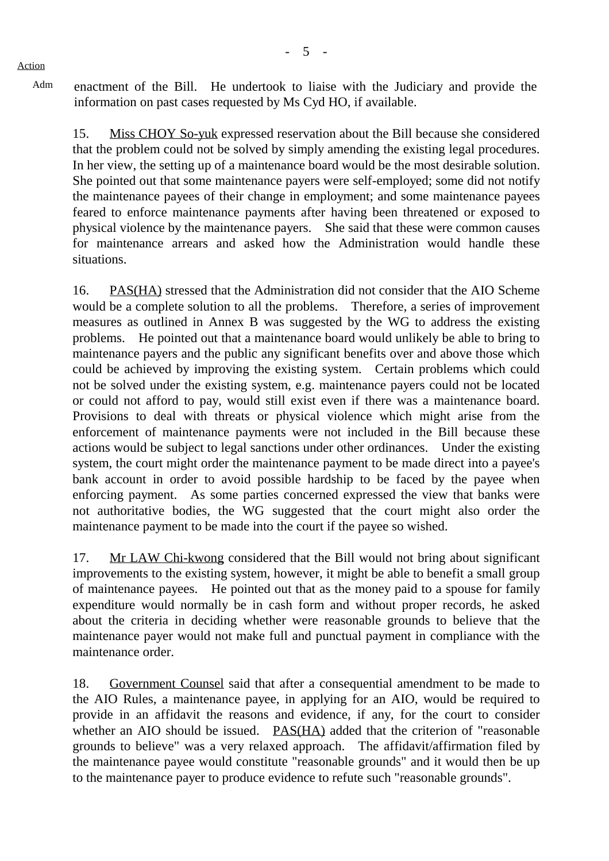Adm enactment of the Bill. He undertook to liaise with the Judiciary and provide the information on past cases requested by Ms Cyd HO, if available.

15. Miss CHOY So-yuk expressed reservation about the Bill because she considered that the problem could not be solved by simply amending the existing legal procedures. In her view, the setting up of a maintenance board would be the most desirable solution. She pointed out that some maintenance payers were self-employed; some did not notify the maintenance payees of their change in employment; and some maintenance payees feared to enforce maintenance payments after having been threatened or exposed to physical violence by the maintenance payers. She said that these were common causes for maintenance arrears and asked how the Administration would handle these situations.

16. PAS(HA) stressed that the Administration did not consider that the AIO Scheme would be a complete solution to all the problems. Therefore, a series of improvement measures as outlined in Annex B was suggested by the WG to address the existing problems. He pointed out that a maintenance board would unlikely be able to bring to maintenance payers and the public any significant benefits over and above those which could be achieved by improving the existing system. Certain problems which could not be solved under the existing system, e.g. maintenance payers could not be located or could not afford to pay, would still exist even if there was a maintenance board. Provisions to deal with threats or physical violence which might arise from the enforcement of maintenance payments were not included in the Bill because these actions would be subject to legal sanctions under other ordinances. Under the existing system, the court might order the maintenance payment to be made direct into a payee's bank account in order to avoid possible hardship to be faced by the payee when enforcing payment. As some parties concerned expressed the view that banks were not authoritative bodies, the WG suggested that the court might also order the maintenance payment to be made into the court if the payee so wished.

17. Mr LAW Chi-kwong considered that the Bill would not bring about significant improvements to the existing system, however, it might be able to benefit a small group of maintenance payees. He pointed out that as the money paid to a spouse for family expenditure would normally be in cash form and without proper records, he asked about the criteria in deciding whether were reasonable grounds to believe that the maintenance payer would not make full and punctual payment in compliance with the maintenance order.

18. Government Counsel said that after a consequential amendment to be made to the AIO Rules, a maintenance payee, in applying for an AIO, would be required to provide in an affidavit the reasons and evidence, if any, for the court to consider whether an AIO should be issued. PAS(HA) added that the criterion of "reasonable grounds to believe" was a very relaxed approach. The affidavit/affirmation filed by the maintenance payee would constitute "reasonable grounds" and it would then be up to the maintenance payer to produce evidence to refute such "reasonable grounds".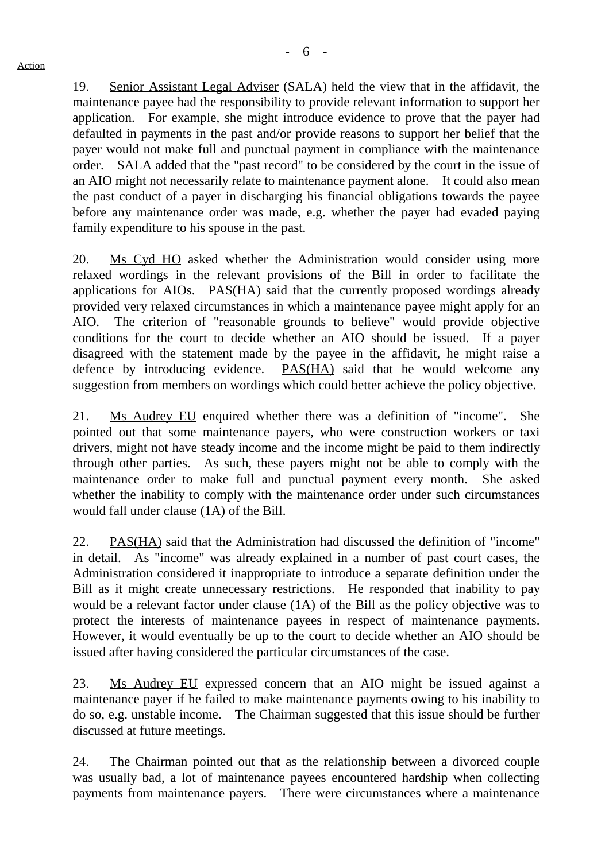19. Senior Assistant Legal Adviser (SALA) held the view that in the affidavit, the maintenance payee had the responsibility to provide relevant information to support her application. For example, she might introduce evidence to prove that the payer had defaulted in payments in the past and/or provide reasons to support her belief that the payer would not make full and punctual payment in compliance with the maintenance order. SALA added that the "past record" to be considered by the court in the issue of an AIO might not necessarily relate to maintenance payment alone. It could also mean the past conduct of a payer in discharging his financial obligations towards the payee before any maintenance order was made, e.g. whether the payer had evaded paying family expenditure to his spouse in the past.

20. Ms Cyd HO asked whether the Administration would consider using more relaxed wordings in the relevant provisions of the Bill in order to facilitate the applications for AIOs. PAS(HA) said that the currently proposed wordings already provided very relaxed circumstances in which a maintenance payee might apply for an AIO. The criterion of "reasonable grounds to believe" would provide objective conditions for the court to decide whether an AIO should be issued. If a payer disagreed with the statement made by the payee in the affidavit, he might raise a defence by introducing evidence. PAS(HA) said that he would welcome any suggestion from members on wordings which could better achieve the policy objective.

21. Ms Audrey EU enquired whether there was a definition of "income". She pointed out that some maintenance payers, who were construction workers or taxi drivers, might not have steady income and the income might be paid to them indirectly through other parties. As such, these payers might not be able to comply with the maintenance order to make full and punctual payment every month. She asked whether the inability to comply with the maintenance order under such circumstances would fall under clause (1A) of the Bill.

22. PAS(HA) said that the Administration had discussed the definition of "income" in detail. As "income" was already explained in a number of past court cases, the Administration considered it inappropriate to introduce a separate definition under the Bill as it might create unnecessary restrictions. He responded that inability to pay would be a relevant factor under clause (1A) of the Bill as the policy objective was to protect the interests of maintenance payees in respect of maintenance payments. However, it would eventually be up to the court to decide whether an AIO should be issued after having considered the particular circumstances of the case.

23. Ms Audrey EU expressed concern that an AIO might be issued against a maintenance payer if he failed to make maintenance payments owing to his inability to do so, e.g. unstable income. The Chairman suggested that this issue should be further discussed at future meetings.

24. The Chairman pointed out that as the relationship between a divorced couple was usually bad, a lot of maintenance payees encountered hardship when collecting payments from maintenance payers. There were circumstances where a maintenance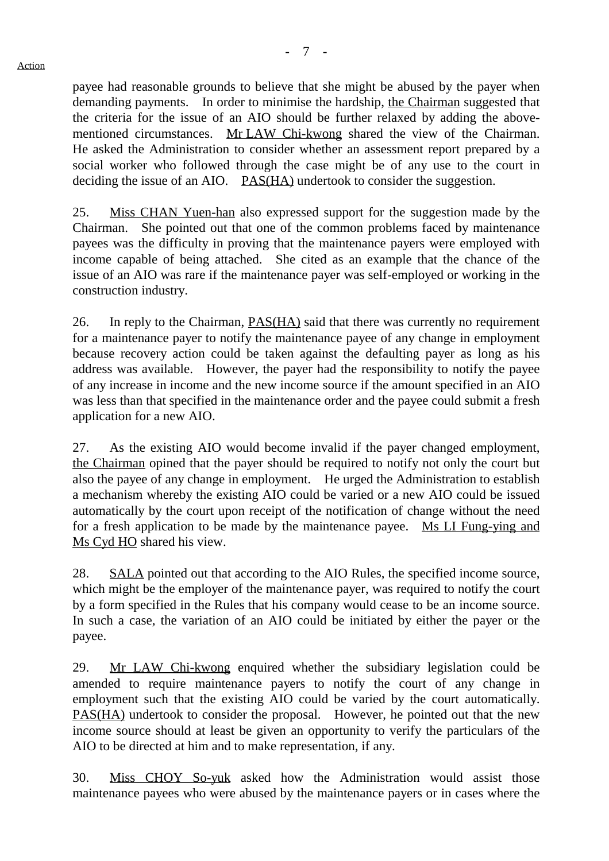payee had reasonable grounds to believe that she might be abused by the payer when demanding payments. In order to minimise the hardship, the Chairman suggested that the criteria for the issue of an AIO should be further relaxed by adding the abovementioned circumstances. Mr LAW Chi-kwong shared the view of the Chairman. He asked the Administration to consider whether an assessment report prepared by a social worker who followed through the case might be of any use to the court in deciding the issue of an AIO. PAS(HA) undertook to consider the suggestion.

25. Miss CHAN Yuen-han also expressed support for the suggestion made by the Chairman. She pointed out that one of the common problems faced by maintenance payees was the difficulty in proving that the maintenance payers were employed with income capable of being attached. She cited as an example that the chance of the issue of an AIO was rare if the maintenance payer was self-employed or working in the construction industry.

26. In reply to the Chairman, PAS(HA) said that there was currently no requirement for a maintenance payer to notify the maintenance payee of any change in employment because recovery action could be taken against the defaulting payer as long as his address was available. However, the payer had the responsibility to notify the payee of any increase in income and the new income source if the amount specified in an AIO was less than that specified in the maintenance order and the payee could submit a fresh application for a new AIO.

27. As the existing AIO would become invalid if the payer changed employment, the Chairman opined that the payer should be required to notify not only the court but also the payee of any change in employment. He urged the Administration to establish a mechanism whereby the existing AIO could be varied or a new AIO could be issued automatically by the court upon receipt of the notification of change without the need for a fresh application to be made by the maintenance payee. Ms LI Fung-ying and Ms Cyd HO shared his view.

28. SALA pointed out that according to the AIO Rules, the specified income source, which might be the employer of the maintenance payer, was required to notify the court by a form specified in the Rules that his company would cease to be an income source. In such a case, the variation of an AIO could be initiated by either the payer or the payee.

29. Mr LAW Chi-kwong enquired whether the subsidiary legislation could be amended to require maintenance payers to notify the court of any change in employment such that the existing AIO could be varied by the court automatically. PAS(HA) undertook to consider the proposal. However, he pointed out that the new income source should at least be given an opportunity to verify the particulars of the AIO to be directed at him and to make representation, if any.

30. Miss CHOY So-yuk asked how the Administration would assist those maintenance payees who were abused by the maintenance payers or in cases where the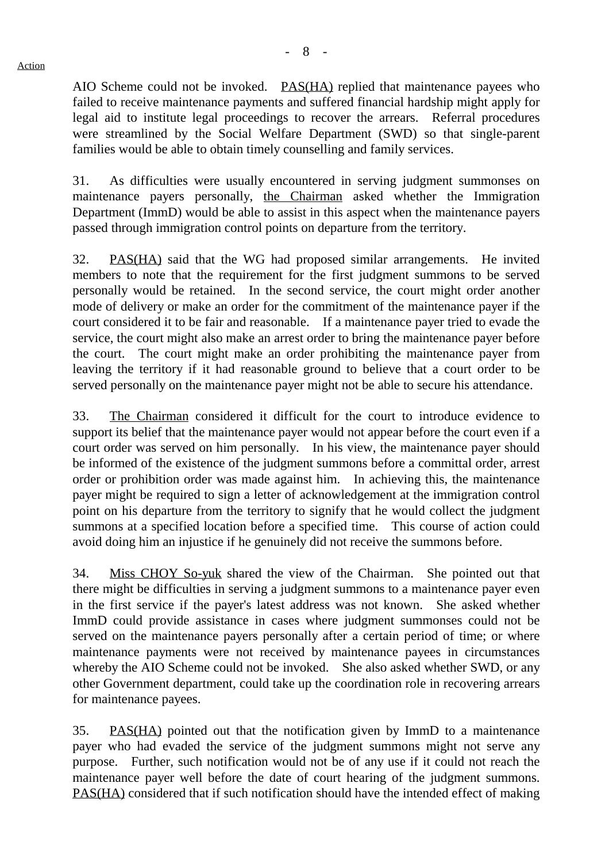- 8 -

AIO Scheme could not be invoked. PAS(HA) replied that maintenance payees who failed to receive maintenance payments and suffered financial hardship might apply for legal aid to institute legal proceedings to recover the arrears. Referral procedures were streamlined by the Social Welfare Department (SWD) so that single-parent families would be able to obtain timely counselling and family services.

31. As difficulties were usually encountered in serving judgment summonses on maintenance payers personally, the Chairman asked whether the Immigration Department (ImmD) would be able to assist in this aspect when the maintenance payers passed through immigration control points on departure from the territory.

32. PAS(HA) said that the WG had proposed similar arrangements. He invited members to note that the requirement for the first judgment summons to be served personally would be retained. In the second service, the court might order another mode of delivery or make an order for the commitment of the maintenance payer if the court considered it to be fair and reasonable. If a maintenance payer tried to evade the service, the court might also make an arrest order to bring the maintenance payer before the court. The court might make an order prohibiting the maintenance payer from leaving the territory if it had reasonable ground to believe that a court order to be served personally on the maintenance payer might not be able to secure his attendance.

33. The Chairman considered it difficult for the court to introduce evidence to support its belief that the maintenance payer would not appear before the court even if a court order was served on him personally. In his view, the maintenance payer should be informed of the existence of the judgment summons before a committal order, arrest order or prohibition order was made against him. In achieving this, the maintenance payer might be required to sign a letter of acknowledgement at the immigration control point on his departure from the territory to signify that he would collect the judgment summons at a specified location before a specified time. This course of action could avoid doing him an injustice if he genuinely did not receive the summons before.

34. Miss CHOY So-yuk shared the view of the Chairman. She pointed out that there might be difficulties in serving a judgment summons to a maintenance payer even in the first service if the payer's latest address was not known. She asked whether ImmD could provide assistance in cases where judgment summonses could not be served on the maintenance payers personally after a certain period of time; or where maintenance payments were not received by maintenance payees in circumstances whereby the AIO Scheme could not be invoked. She also asked whether SWD, or any other Government department, could take up the coordination role in recovering arrears for maintenance payees.

35. PAS(HA) pointed out that the notification given by ImmD to a maintenance payer who had evaded the service of the judgment summons might not serve any purpose. Further, such notification would not be of any use if it could not reach the maintenance payer well before the date of court hearing of the judgment summons. PAS(HA) considered that if such notification should have the intended effect of making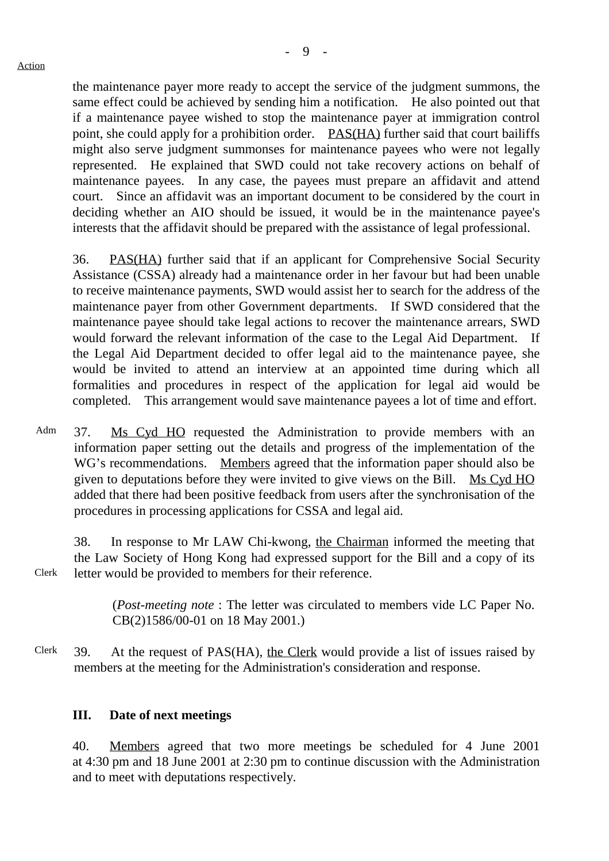the maintenance payer more ready to accept the service of the judgment summons, the same effect could be achieved by sending him a notification. He also pointed out that if a maintenance payee wished to stop the maintenance payer at immigration control point, she could apply for a prohibition order. PAS(HA) further said that court bailiffs might also serve judgment summonses for maintenance payees who were not legally represented. He explained that SWD could not take recovery actions on behalf of maintenance payees. In any case, the payees must prepare an affidavit and attend court. Since an affidavit was an important document to be considered by the court in deciding whether an AIO should be issued, it would be in the maintenance payee's interests that the affidavit should be prepared with the assistance of legal professional.

36. PAS(HA) further said that if an applicant for Comprehensive Social Security Assistance (CSSA) already had a maintenance order in her favour but had been unable to receive maintenance payments, SWD would assist her to search for the address of the maintenance payer from other Government departments. If SWD considered that the maintenance payee should take legal actions to recover the maintenance arrears, SWD would forward the relevant information of the case to the Legal Aid Department. If the Legal Aid Department decided to offer legal aid to the maintenance payee, she would be invited to attend an interview at an appointed time during which all formalities and procedures in respect of the application for legal aid would be completed. This arrangement would save maintenance payees a lot of time and effort.

Adm 37. Ms Cyd HO requested the Administration to provide members with an information paper setting out the details and progress of the implementation of the WG's recommendations. Members agreed that the information paper should also be given to deputations before they were invited to give views on the Bill. Ms Cyd HO added that there had been positive feedback from users after the synchronisation of the procedures in processing applications for CSSA and legal aid.

38. In response to Mr LAW Chi-kwong, the Chairman informed the meeting that the Law Society of Hong Kong had expressed support for the Bill and a copy of its letter would be provided to members for their reference.

> (*Post-meeting note* : The letter was circulated to members vide LC Paper No. CB(2)1586/00-01 on 18 May 2001.)

Clerk 39. At the request of PAS(HA), the Clerk would provide a list of issues raised by members at the meeting for the Administration's consideration and response.

#### **III. Date of next meetings**

40. Members agreed that two more meetings be scheduled for 4 June 2001 at 4:30 pm and 18 June 2001 at 2:30 pm to continue discussion with the Administration and to meet with deputations respectively.

Clerk